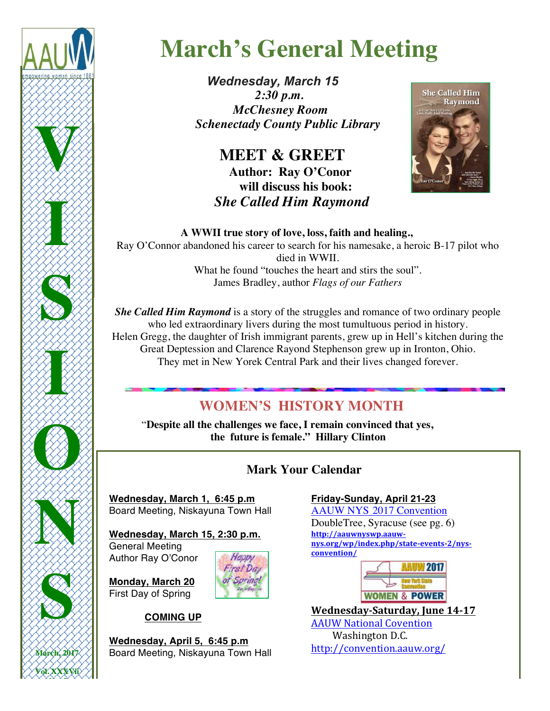

# **March's General Meeting**

 *Wednesday, March 15 2:30 p.m. McChesney Room Schenectady County Public Library*

> **MEET & GREET**<br>Author: Ray O'Conor  **will discuss his book:**  *She Called Him Raymond*



 **A WWII true story of love, loss, faith and healing.,**

Ray O'Connor abandoned his career to search for his namesake, a heroic B-17 pilot who died in WWII. What he found "touches the heart and stirs the soul". James Bradley, author *Flags of our Fathers*

*She Called Him Raymond* is a story of the struggles and romance of two ordinary people who led extraordinary livers during the most tumultuous period in history. Helen Gregg, the daughter of Irish immigrant parents, grew up in Hell's kitchen during the Great Deptession and Clarence Rayond Stephenson grew up in Ironton, Ohio. They met in New Yorek Central Park and their lives changed forever.

# **WOMEN'S HISTORY MONTH**

 "**Despite all the challenges we face, I remain convinced that yes, the future is female." Hillary Clinton** 

# **Mark Your Calendar**

**Wednesday, March 1, 6:45 p.m** Board Meeting, Niskayuna Town Hall

**Wednesday, March 15, 2:30 p.m.** General Meeting Author Ray O'Conor

**Monday, March 20** First Day of Spring



 **COMING UP**

**Wednesday, April 5, 6:45 p.m** Board Meeting, Niskayuna Town Hall

### **Friday-Sunday, April 21-23**

AAUW NYS 2017 Convention DoubleTree, Syracuse (see pg. 6) **http://aauwnyswp.aauwnys.org/wp/index.php/state-events-2/nysconvention/**



**Wednesday-Saturday, June 14-17 AAUW National Covention** Washington D.C. http://convention.aauw.org/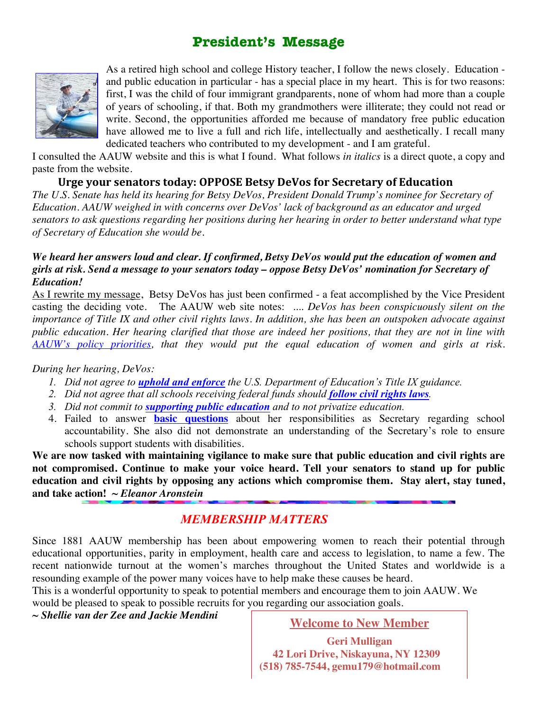# **President's Message**



As a retired high school and college History teacher, I follow the news closely. Education and public education in particular - has a special place in my heart. This is for two reasons: first, I was the child of four immigrant grandparents, none of whom had more than a couple of years of schooling, if that. Both my grandmothers were illiterate; they could not read or write. Second, the opportunities afforded me because of mandatory free public education have allowed me to live a full and rich life, intellectually and aesthetically. I recall many dedicated teachers who contributed to my development - and I am grateful.

I consulted the AAUW website and this is what I found. What follows *in italics* is a direct quote, a copy and paste from the website.

### Urge your senators today: OPPOSE Betsy DeVos for Secretary of Education

*The U.S. Senate has held its hearing for Betsy DeVos, President Donald Trump's nominee for Secretary of Education. AAUW weighed in with concerns over DeVos' lack of background as an educator and urged senators to ask questions regarding her positions during her hearing in order to better understand what type of Secretary of Education she would be.*

### *We heard her answers loud and clear. If confirmed, Betsy DeVos would put the education of women and girls at risk. Send a message to your senators today – oppose Betsy DeVos' nomination for Secretary of Education!*

As I rewrite my message, Betsy DeVos has just been confirmed - a feat accomplished by the Vice President casting the deciding vote. The AAUW web site notes: .... *DeVos has been conspicuously silent on the importance of Title IX and other civil rights laws. In addition, she has been an outspoken advocate against public education. Her hearing clarified that those are indeed her positions, that they are not in line with AAUW's policy priorities, that they would put the equal education of women and girls at risk.*

### *During her hearing, DeVos:*

- *1. Did not agree to uphold and enforce the U.S. Department of Education's Title IX guidance.*
- *2. Did not agree that all schools receiving federal funds should follow civil rights laws.*
- *3. Did not commit to supporting public education and to not privatize education.*
- 4. Failed to answer **basic questions** about her responsibilities as Secretary regarding school accountability. She also did not demonstrate an understanding of the Secretary's role to ensure schools support students with disabilities.

**We are now tasked with maintaining vigilance to make sure that public education and civil rights are not compromised. Continue to make your voice heard. Tell your senators to stand up for public education and civil rights by opposing any actions which compromise them. Stay alert, stay tuned, and take action!** *~ Eleanor Aronstein*

## **MEMBERSHIP MATTERS**

Since 1881 AAUW membership has been about empowering women to reach their potential through educational opportunities, parity in employment, health care and access to legislation, to name a few. The recent nationwide turnout at the women's marches throughout the United States and worldwide is a resounding example of the power many voices have to help make these causes be heard.

This is a wonderful opportunity to speak to potential members and encourage them to join AAUW. We would be pleased to speak to possible recruits for you regarding our association goals. 

*~ Shellie van der Zee and Jackie Mendini*

**Welcome to New Member**

**Geri Mulligan 42 Lori Drive, Niskayuna, NY 12309 (518) 785-7544, gemu179@hotmail.com**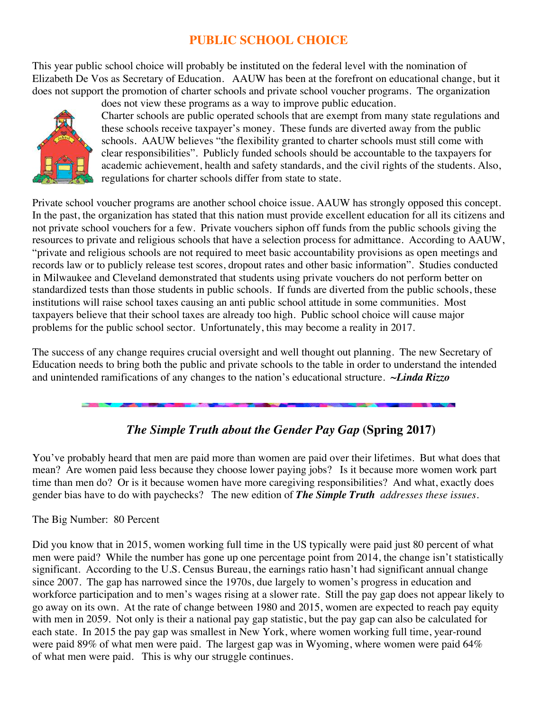# **PUBLIC SCHOOL CHOICE**

This year public school choice will probably be instituted on the federal level with the nomination of Elizabeth De Vos as Secretary of Education. AAUW has been at the forefront on educational change, but it does not support the promotion of charter schools and private school voucher programs. The organization



does not view these programs as a way to improve public education. Charter schools are public operated schools that are exempt from many state regulations and these schools receive taxpayer's money. These funds are diverted away from the public schools. AAUW believes "the flexibility granted to charter schools must still come with clear responsibilities". Publicly funded schools should be accountable to the taxpayers for academic achievement, health and safety standards, and the civil rights of the students. Also, regulations for charter schools differ from state to state.

Private school voucher programs are another school choice issue. AAUW has strongly opposed this concept. In the past, the organization has stated that this nation must provide excellent education for all its citizens and not private school vouchers for a few. Private vouchers siphon off funds from the public schools giving the resources to private and religious schools that have a selection process for admittance. According to AAUW, "private and religious schools are not required to meet basic accountability provisions as open meetings and records law or to publicly release test scores, dropout rates and other basic information". Studies conducted in Milwaukee and Cleveland demonstrated that students using private vouchers do not perform better on standardized tests than those students in public schools. If funds are diverted from the public schools, these institutions will raise school taxes causing an anti public school attitude in some communities. Most taxpayers believe that their school taxes are already too high. Public school choice will cause major problems for the public school sector. Unfortunately, this may become a reality in 2017.

The success of any change requires crucial oversight and well thought out planning. The new Secretary of Education needs to bring both the public and private schools to the table in order to understand the intended and unintended ramifications of any changes to the nation's educational structure. *~Linda Rizzo*

# *The Simple Truth about the Gender Pay Gap* **(Spring 2017)**

You've probably heard that men are paid more than women are paid over their lifetimes. But what does that mean? Are women paid less because they choose lower paying jobs? Is it because more women work part time than men do? Or is it because women have more caregiving responsibilities? And what, exactly does gender bias have to do with paychecks? The new edition of *The Simple Truth addresses these issues.* 

The Big Number: 80 Percent

Did you know that in 2015, women working full time in the US typically were paid just 80 percent of what men were paid? While the number has gone up one percentage point from 2014, the change isn't statistically significant. According to the U.S. Census Bureau, the earnings ratio hasn't had significant annual change since 2007. The gap has narrowed since the 1970s, due largely to women's progress in education and workforce participation and to men's wages rising at a slower rate. Still the pay gap does not appear likely to go away on its own. At the rate of change between 1980 and 2015, women are expected to reach pay equity with men in 2059. Not only is their a national pay gap statistic, but the pay gap can also be calculated for each state. In 2015 the pay gap was smallest in New York, where women working full time, year-round were paid 89% of what men were paid. The largest gap was in Wyoming, where women were paid 64% of what men were paid. This is why our struggle continues.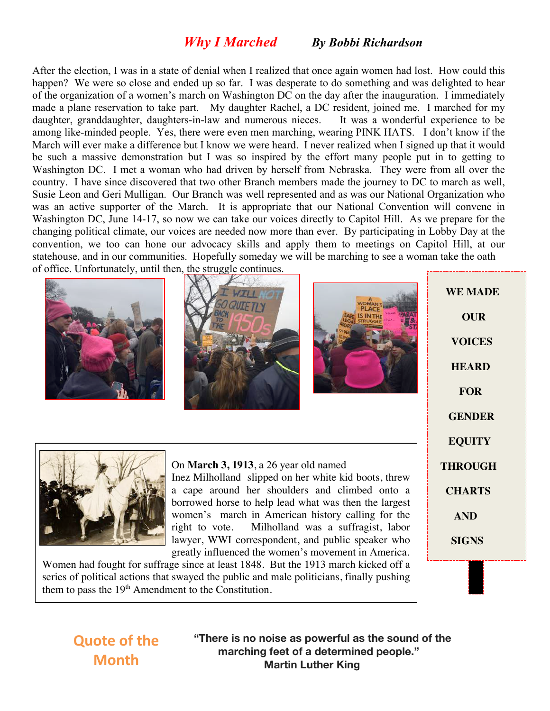# *Why I Marched By Bobbi Richardson*

After the election, I was in a state of denial when I realized that once again women had lost. How could this happen? We were so close and ended up so far. I was desperate to do something and was delighted to hear of the organization of a women's march on Washington DC on the day after the inauguration. I immediately made a plane reservation to take part. My daughter Rachel, a DC resident, joined me. I marched for my daughter, granddaughter, daughters-in-law and numerous nieces. It was a wonderful experience to be among like-minded people. Yes, there were even men marching, wearing PINK HATS. I don't know if the March will ever make a difference but I know we were heard. I never realized when I signed up that it would be such a massive demonstration but I was so inspired by the effort many people put in to getting to Washington DC. I met a woman who had driven by herself from Nebraska. They were from all over the country. I have since discovered that two other Branch members made the journey to DC to march as well, Susie Leon and Geri Mulligan. Our Branch was well represented and as was our National Organization who was an active supporter of the March. It is appropriate that our National Convention will convene in Washington DC, June 14-17, so now we can take our voices directly to Capitol Hill. As we prepare for the changing political climate, our voices are needed now more than ever. By participating in Lobby Day at the convention, we too can hone our advocacy skills and apply them to meetings on Capitol Hill, at our statehouse, and in our communities. Hopefully someday we will be marching to see a woman take the oath of office. Unfortunately, until then, the struggle continues.







 **WE MADE OUR VOICES HEARD FOR GENDER EQUITY THROUGH CHARTS AND SIGNS**



On **March 3, 1913**, a 26 year old named Inez Milholland slipped on her white kid boots, threw a cape around her shoulders and climbed onto a borrowed horse to help lead what was then the largest women's march in American history calling for the right to vote. Milholland was a suffragist, labor lawyer, WWI correspondent, and public speaker who greatly influenced the women's movement in America.

Women had fought for suffrage since at least 1848. But the 1913 march kicked off a series of political actions that swayed the public and male politicians, finally pushing them to pass the  $19<sup>th</sup>$  Amendment to the Constitution.

# **Quote of the Month**

**"There is no noise as powerful as the sound of the marching feet of a determined people." Martin Luther King**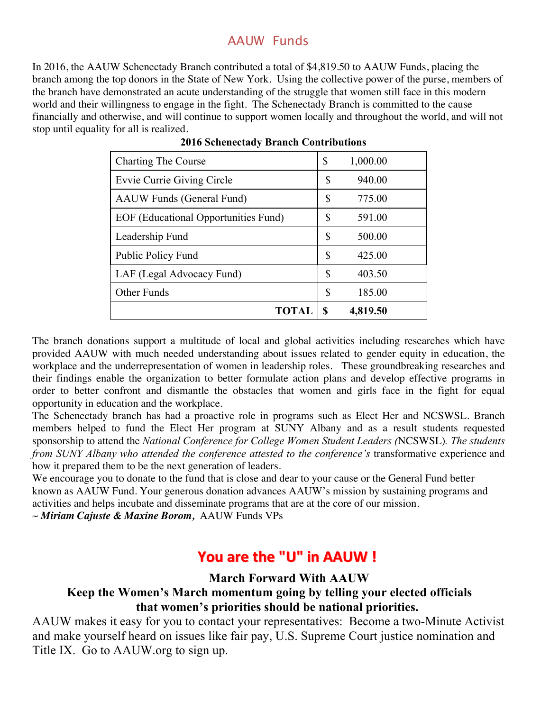# AAUW Funds

In 2016, the AAUW Schenectady Branch contributed a total of \$4,819.50 to AAUW Funds, placing the branch among the top donors in the State of New York. Using the collective power of the purse, members of the branch have demonstrated an acute understanding of the struggle that women still face in this modern world and their willingness to engage in the fight. The Schenectady Branch is committed to the cause financially and otherwise, and will continue to support women locally and throughout the world, and will not stop until equality for all is realized.

| <b>Charting The Course</b>           | \$ | 1,000.00 |
|--------------------------------------|----|----------|
| <b>Evvie Currie Giving Circle</b>    | \$ | 940.00   |
| <b>AAUW</b> Funds (General Fund)     | \$ | 775.00   |
| EOF (Educational Opportunities Fund) | \$ | 591.00   |
| Leadership Fund                      | \$ | 500.00   |
| <b>Public Policy Fund</b>            | S  | 425.00   |
| LAF (Legal Advocacy Fund)            | S  | 403.50   |
| Other Funds                          | \$ | 185.00   |
| <b>TOTAL</b>                         | S  | 4,819.50 |

The branch donations support a multitude of local and global activities including researches which have provided AAUW with much needed understanding about issues related to gender equity in education, the workplace and the underrepresentation of women in leadership roles. These groundbreaking researches and their findings enable the organization to better formulate action plans and develop effective programs in order to better confront and dismantle the obstacles that women and girls face in the fight for equal opportunity in education and the workplace.

The Schenectady branch has had a proactive role in programs such as Elect Her and NCSWSL. Branch members helped to fund the Elect Her program at SUNY Albany and as a result students requested sponsorship to attend the *National Conference for College Women Student Leaders (*NCSWSL)*. The students from SUNY Albany who attended the conference attested to the conference's transformative experience and* how it prepared them to be the next generation of leaders.

We encourage you to donate to the fund that is close and dear to your cause or the General Fund better known as AAUW Fund. Your generous donation advances AAUW's mission by sustaining programs and activities and helps incubate and disseminate programs that are at the core of our mission.

~ *Miriam Cajuste & Maxine Borom,* AAUW Funds VPs

# **You are the "U" You are the "U" in AAUW ! in AAUW !**

## **March Forward With AAUW**

# **Keep the Women's March momentum going by telling your elected officials that women's priorities should be national priorities.**

AAUW makes it easy for you to contact your representatives: Become a two-Minute Activist and make yourself heard on issues like fair pay, U.S. Supreme Court justice nomination and Title IX. Go to AAUW.org to sign up.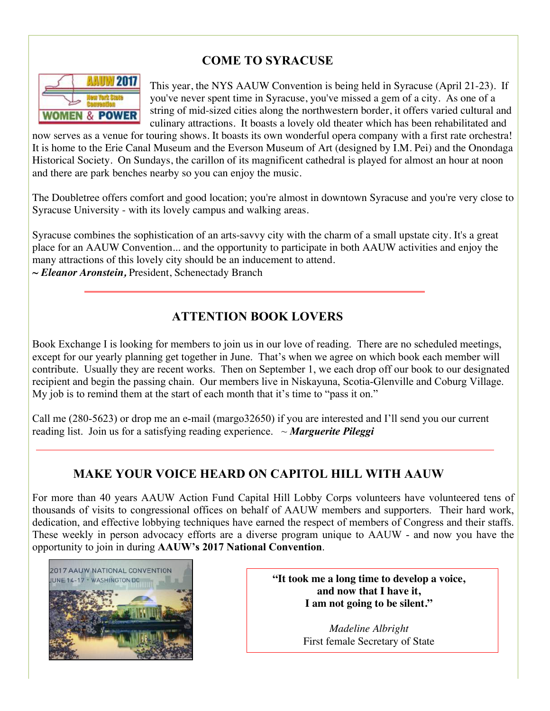# **COME TO SYRACUSE**



This year, the NYS AAUW Convention is being held in Syracuse (April 21-23). If you've never spent time in Syracuse, you've missed a gem of a city. As one of a string of mid-sized cities along the northwestern border, it offers varied cultural and culinary attractions. It boasts a lovely old theater which has been rehabilitated and

now serves as a venue for touring shows. It boasts its own wonderful opera company with a first rate orchestra! It is home to the Erie Canal Museum and the Everson Museum of Art (designed by I.M. Pei) and the Onondaga Historical Society. On Sundays, the carillon of its magnificent cathedral is played for almost an hour at noon and there are park benches nearby so you can enjoy the music.

The Doubletree offers comfort and good location; you're almost in downtown Syracuse and you're very close to Syracuse University - with its lovely campus and walking areas.

Syracuse combines the sophistication of an arts-savvy city with the charm of a small upstate city. It's a great place for an AAUW Convention... and the opportunity to participate in both AAUW activities and enjoy the many attractions of this lovely city should be an inducement to attend. *~ Eleanor Aronstein,* President, Schenectady Branch

# **ATTENTION BOOK LOVERS**

Book Exchange I is looking for members to join us in our love of reading. There are no scheduled meetings, except for our yearly planning get together in June. That's when we agree on which book each member will contribute. Usually they are recent works. Then on September 1, we each drop off our book to our designated recipient and begin the passing chain. Our members live in Niskayuna, Scotia-Glenville and Coburg Village. My job is to remind them at the start of each month that it's time to "pass it on."

Call me (280-5623) or drop me an e-mail (margo32650) if you are interested and I'll send you our current reading list. Join us for a satisfying reading experience. ~ *Marguerite Pileggi*

# **MAKE YOUR VOICE HEARD ON CAPITOL HILL WITH AAUW**

For more than 40 years AAUW Action Fund Capital Hill Lobby Corps volunteers have volunteered tens of thousands of visits to congressional offices on behalf of AAUW members and supporters. Their hard work, dedication, and effective lobbying techniques have earned the respect of members of Congress and their staffs. These weekly in person advocacy efforts are a diverse program unique to AAUW - and now you have the opportunity to join in during **AAUW's 2017 National Convention**.



**"It took me a long time to develop a voice, and now that I have it, I am not going to be silent."**

> *Madeline Albright* First female Secretary of State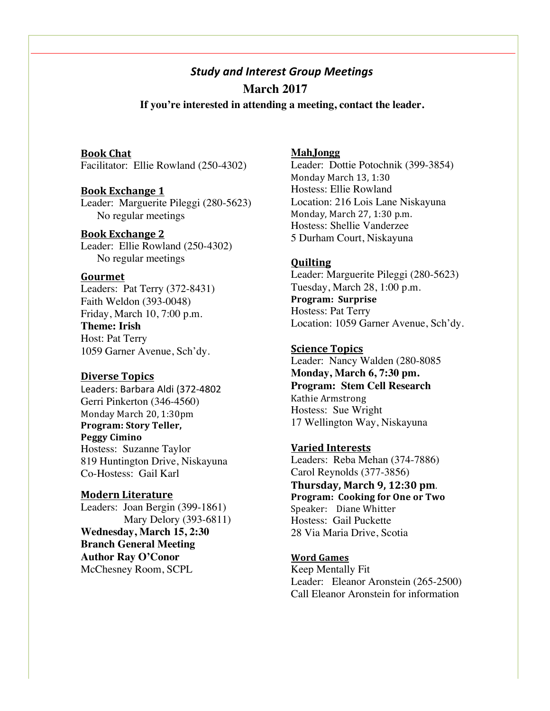# *Study and Interest Group Meetings*  **March 2017**

 **If you're interested in attending a meeting, contact the leader.**

#### **Book Chat**

Facilitator: Ellie Rowland (250-4302)

#### **Book Exchange 1**

Leader: Marguerite Pileggi (280-5623) No regular meetings

### **Book Exchange 2**

Leader: Ellie Rowland (250-4302) No regular meetings

#### **Gourmet**

Leaders: Pat Terry (372-8431) Faith Weldon (393-0048) Friday, March 10, 7:00 p.m. **Theme: Irish** Host: Pat Terry 1059 Garner Avenue, Sch'dy.

#### **Diverse Topics**

Leaders: Barbara Aldi (372-4802 Gerri Pinkerton (346-4560) Monday March 20, 1:30pm **Program: Story Teller, Peggy Cimino** Hostess: Suzanne Taylor 819 Huntington Drive, Niskayuna Co-Hostess: Gail Karl

**Modern Literature** Leaders: Joan Bergin (399-1861) Mary Delory (393-6811) **Wednesday, March 15, 2:30 Branch General Meeting Author Ray O'Conor** McChesney Room, SCPL

### **MahJongg**

Leader: Dottie Potochnik (399-3854) Monday March 13, 1:30 Hostess: Ellie Rowland Location: 216 Lois Lane Niskayuna Monday, March 27, 1:30 p.m. Hostess: Shellie Vanderzee 5 Durham Court, Niskayuna

#### **Quilting**

Leader: Marguerite Pileggi (280-5623) Tuesday, March 28, 1:00 p.m. **Program: Surprise** Hostess: Pat Terry Location: 1059 Garner Avenue, Sch'dy.

#### **Science Topics**

Leader: Nancy Walden (280-8085 **Monday, March 6, 7:30 pm. Program: Stem Cell Research** Kathie Armstrong Hostess: Sue Wright 17 Wellington Way, Niskayuna

#### **Varied Interests**

Leaders: Reba Mehan (374-7886) Carol Reynolds (377-3856) **Thursday, March 9, 12:30 pm**. **Program: Cooking for One or Two** Speaker: Diane Whitter Hostess: Gail Puckette 28 Via Maria Drive, Scotia

#### **Word Games**

Keep Mentally Fit Leader: Eleanor Aronstein (265-2500) Call Eleanor Aronstein for information